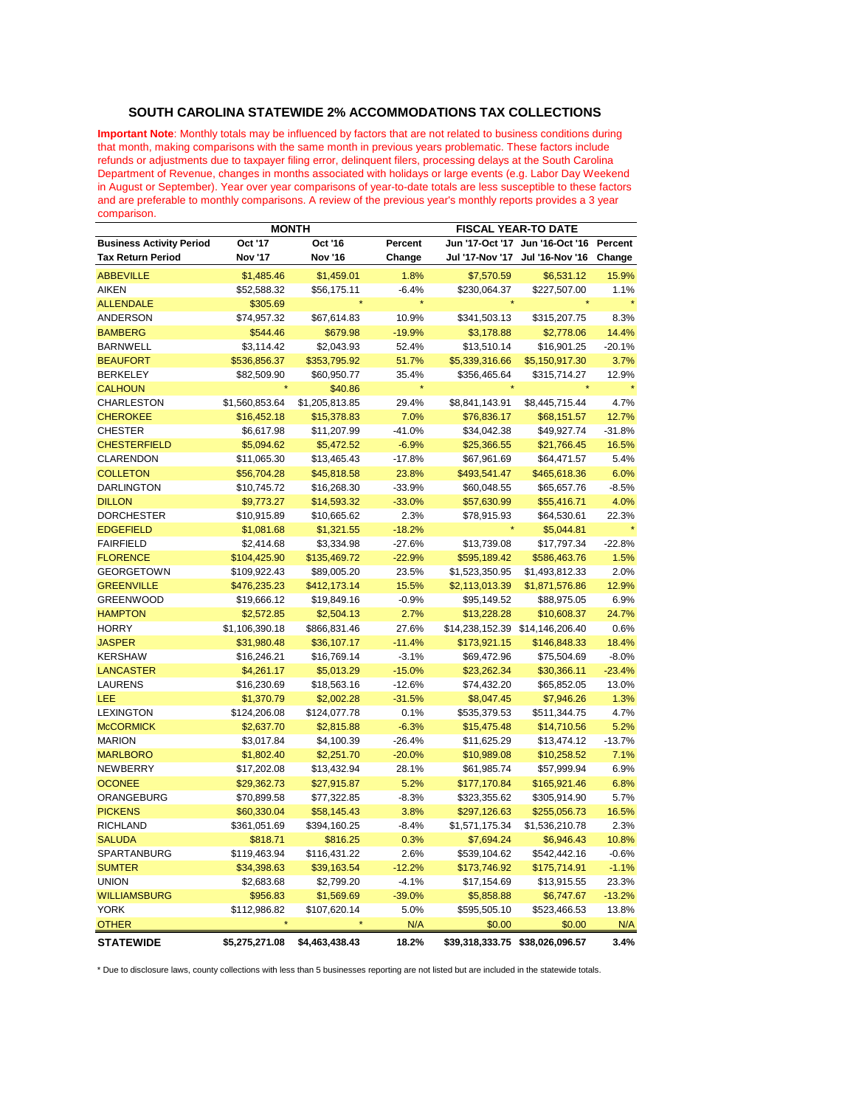## **SOUTH CAROLINA STATEWIDE 2% ACCOMMODATIONS TAX COLLECTIONS**

**Important Note**: Monthly totals may be influenced by factors that are not related to business conditions during that month, making comparisons with the same month in previous years problematic. These factors include refunds or adjustments due to taxpayer filing error, delinquent filers, processing delays at the South Carolina Department of Revenue, changes in months associated with holidays or large events (e.g. Labor Day Weekend in August or September). Year over year comparisons of year-to-date totals are less susceptible to these factors and are preferable to monthly comparisons. A review of the previous year's monthly reports provides a 3 year comparison.

|                                 | <b>MONTH</b>   |                |          | <b>FISCAL YEAR-TO DATE</b> |                 |          |  |
|---------------------------------|----------------|----------------|----------|----------------------------|-----------------|----------|--|
| <b>Business Activity Period</b> | Oct '17        | Oct '16        | Percent  | Jun '17-Oct '17            | Jun '16-Oct '16 | Percent  |  |
| <b>Tax Return Period</b>        | Nov '17        | Nov '16        | Change   | <b>Jul '17-Nov '17</b>     | Jul '16-Nov '16 | Change   |  |
| <b>ABBEVILLE</b>                | \$1,485.46     | \$1,459.01     | 1.8%     | \$7,570.59                 | \$6,531.12      | 15.9%    |  |
| <b>AIKEN</b>                    | \$52,588.32    | \$56,175.11    | $-6.4%$  | \$230,064.37               | \$227,507.00    | 1.1%     |  |
| <b>ALLENDALE</b>                | \$305.69       |                |          |                            |                 |          |  |
| <b>ANDERSON</b>                 | \$74,957.32    | \$67,614.83    | 10.9%    | \$341,503.13               | \$315,207.75    | 8.3%     |  |
| <b>BAMBERG</b>                  | \$544.46       | \$679.98       | $-19.9%$ | \$3,178.88                 | \$2,778.06      | 14.4%    |  |
| <b>BARNWELL</b>                 | \$3,114.42     | \$2,043.93     | 52.4%    | \$13,510.14                | \$16,901.25     | $-20.1%$ |  |
| <b>BEAUFORT</b>                 | \$536,856.37   | \$353,795.92   | 51.7%    | \$5,339,316.66             | \$5,150,917.30  | 3.7%     |  |
| <b>BERKELEY</b>                 | \$82,509.90    | \$60,950.77    | 35.4%    | \$356,465.64               | \$315,714.27    | 12.9%    |  |
| <b>CALHOUN</b>                  |                | \$40.86        |          |                            |                 |          |  |
| <b>CHARLESTON</b>               | \$1,560,853.64 | \$1,205,813.85 | 29.4%    | \$8,841,143.91             | \$8,445,715.44  | 4.7%     |  |
| <b>CHEROKEE</b>                 | \$16,452.18    | \$15,378.83    | 7.0%     | \$76,836.17                | \$68,151.57     | 12.7%    |  |
| <b>CHESTER</b>                  | \$6,617.98     | \$11,207.99    | $-41.0%$ | \$34,042.38                | \$49,927.74     | $-31.8%$ |  |
| <b>CHESTERFIELD</b>             | \$5,094.62     | \$5,472.52     | $-6.9%$  | \$25,366.55                | \$21,766.45     | 16.5%    |  |
| <b>CLARENDON</b>                | \$11,065.30    | \$13,465.43    | $-17.8%$ | \$67,961.69                | \$64,471.57     | 5.4%     |  |
| <b>COLLETON</b>                 | \$56,704.28    | \$45,818.58    | 23.8%    | \$493,541.47               | \$465,618.36    | 6.0%     |  |
| <b>DARLINGTON</b>               | \$10,745.72    | \$16,268.30    | $-33.9%$ | \$60,048.55                | \$65,657.76     | $-8.5%$  |  |
| <b>DILLON</b>                   | \$9,773.27     | \$14,593.32    | $-33.0%$ | \$57,630.99                | \$55,416.71     | 4.0%     |  |
| <b>DORCHESTER</b>               | \$10,915.89    | \$10,665.62    | 2.3%     | \$78,915.93                | \$64,530.61     | 22.3%    |  |
| <b>EDGEFIELD</b>                | \$1,081.68     | \$1,321.55     | $-18.2%$ |                            | \$5,044.81      |          |  |
| <b>FAIRFIELD</b>                | \$2,414.68     | \$3,334.98     | $-27.6%$ | \$13,739.08                | \$17,797.34     | $-22.8%$ |  |
| <b>FLORENCE</b>                 | \$104,425.90   | \$135,469.72   | $-22.9%$ | \$595,189.42               | \$586,463.76    | 1.5%     |  |
| <b>GEORGETOWN</b>               | \$109,922.43   | \$89,005.20    | 23.5%    | \$1,523,350.95             | \$1,493,812.33  | 2.0%     |  |
| <b>GREENVILLE</b>               | \$476,235.23   | \$412,173.14   | 15.5%    | \$2,113,013.39             | \$1,871,576.86  | 12.9%    |  |
| <b>GREENWOOD</b>                | \$19,666.12    | \$19,849.16    | $-0.9%$  | \$95,149.52                | \$88,975.05     | 6.9%     |  |
| <b>HAMPTON</b>                  | \$2,572.85     | \$2,504.13     | 2.7%     | \$13,228.28                | \$10,608.37     | 24.7%    |  |
| <b>HORRY</b>                    | \$1,106,390.18 | \$866,831.46   | 27.6%    | \$14,238,152.39            | \$14,146,206.40 | 0.6%     |  |
| <b>JASPER</b>                   | \$31,980.48    | \$36,107.17    | $-11.4%$ | \$173,921.15               | \$146,848.33    | 18.4%    |  |
| <b>KERSHAW</b>                  | \$16,246.21    | \$16,769.14    | $-3.1%$  | \$69,472.96                | \$75,504.69     | $-8.0%$  |  |
| <b>LANCASTER</b>                | \$4,261.17     | \$5,013.29     | $-15.0%$ | \$23,262.34                | \$30,366.11     | $-23.4%$ |  |
| <b>LAURENS</b>                  | \$16,230.69    | \$18,563.16    | $-12.6%$ | \$74,432.20                | \$65,852.05     | 13.0%    |  |
| LEE                             | \$1,370.79     | \$2,002.28     | $-31.5%$ | \$8,047.45                 | \$7,946.26      | 1.3%     |  |
| <b>LEXINGTON</b>                | \$124,206.08   | \$124,077.78   | 0.1%     | \$535,379.53               | \$511,344.75    | 4.7%     |  |
| <b>McCORMICK</b>                | \$2,637.70     | \$2,815.88     | $-6.3%$  | \$15,475.48                | \$14,710.56     | 5.2%     |  |
| <b>MARION</b>                   | \$3,017.84     | \$4,100.39     | $-26.4%$ | \$11,625.29                | \$13,474.12     | $-13.7%$ |  |
| <b>MARLBORO</b>                 | \$1,802.40     | \$2,251.70     | $-20.0%$ | \$10,989.08                | \$10,258.52     | 7.1%     |  |
| <b>NEWBERRY</b>                 | \$17,202.08    | \$13,432.94    | 28.1%    | \$61,985.74                | \$57,999.94     | 6.9%     |  |
| <b>OCONEE</b>                   | \$29,362.73    | \$27,915.87    | 5.2%     | \$177,170.84               | \$165,921.46    | 6.8%     |  |
| ORANGEBURG                      | \$70,899.58    | \$77,322.85    | $-8.3%$  | \$323,355.62               | \$305,914.90    | 5.7%     |  |
| <b>PICKENS</b>                  | \$60,330.04    | \$58,145.43    | 3.8%     | \$297,126.63               | \$255,056.73    | 16.5%    |  |
| <b>RICHLAND</b>                 | \$361,051.69   | \$394,160.25   | $-8.4%$  | \$1,571,175.34             | \$1,536,210.78  | 2.3%     |  |
| <b>SALUDA</b>                   | \$818.71       | \$816.25       | 0.3%     | \$7,694.24                 | \$6,946.43      | 10.8%    |  |
| SPARTANBURG                     | \$119,463.94   | \$116,431.22   | 2.6%     | \$539,104.62               | \$542,442.16    | $-0.6%$  |  |
| <b>SUMTER</b>                   | \$34,398.63    | \$39,163.54    | $-12.2%$ | \$173,746.92               | \$175,714.91    | $-1.1%$  |  |
| <b>UNION</b>                    | \$2,683.68     | \$2,799.20     | $-4.1%$  | \$17,154.69                | \$13,915.55     | 23.3%    |  |
| <b>WILLIAMSBURG</b>             | \$956.83       | \$1,569.69     | $-39.0%$ | \$5,858.88                 | \$6,747.67      | $-13.2%$ |  |
| <b>YORK</b>                     | \$112,986.82   | \$107,620.14   | 5.0%     | \$595,505.10               | \$523,466.53    | 13.8%    |  |
| <b>OTHER</b>                    |                |                | N/A      | \$0.00                     | \$0.00          | N/A      |  |
| <b>STATEWIDE</b>                | \$5,275,271.08 | \$4,463,438.43 | 18.2%    | \$39,318,333.75            | \$38,026,096.57 | 3.4%     |  |
|                                 |                |                |          |                            |                 |          |  |

\* Due to disclosure laws, county collections with less than 5 businesses reporting are not listed but are included in the statewide totals.